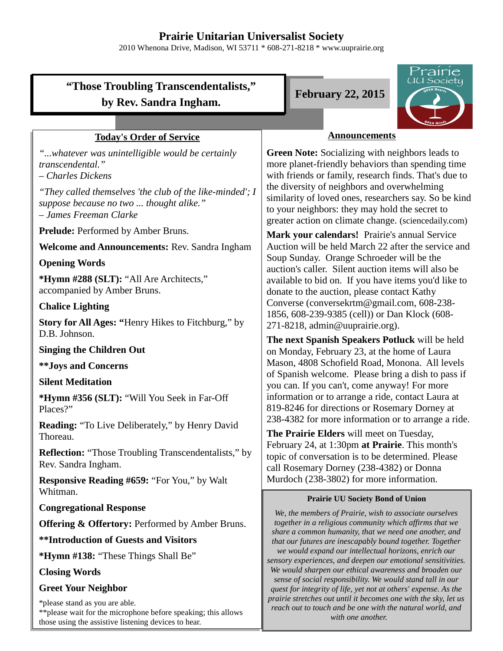# **Prairie Unitarian Universalist Society**

2010 Whenona Drive, Madison, WI 53711 \* 608-271-8218 \* www.uuprairie.org

# **"Those Troubling Transcendentalists," by Rev. Sandra Ingham.**

## **Today's Order of Service**

*"...whatever was unintelligible would be certainly transcendental."* 

*– Charles Dickens*

*"They called themselves 'the club of the like-minded'; I suppose because no two ... thought alike." – James Freeman Clarke* 

**Prelude:** Performed by Amber Bruns.

**Welcome and Announcements:** Rev. Sandra Ingham

#### **Opening Words**

**\*Hymn #288 (SLT):** "All Are Architects," accompanied by Amber Bruns.

### **Chalice Lighting**

**Story for All Ages: "**Henry Hikes to Fitchburg," by D.B. Johnson.

#### **Singing the Children Out**

**\*\*Joys and Concerns**

#### **Silent Meditation**

**\*Hymn #356 (SLT):** "Will You Seek in Far-Off Places?"

**Reading:** "To Live Deliberately," by Henry David Thoreau.

**Reflection:** "Those Troubling Transcendentalists," by Rev. Sandra Ingham.

**Responsive Reading #659:** "For You," by Walt Whitman.

**Congregational Response**

**Offering & Offertory:** Performed by Amber Bruns.

**\*\*Introduction of Guests and Visitors**

**\*Hymn #138:** "These Things Shall Be"

#### **Closing Words**

#### **Greet Your Neighbor**

\*please stand as you are able. \*\*please wait for the microphone before speaking; this allows those using the assistive listening devices to hear.

**February 22, 2015**



## **Announcements**

**Green Note:** Socializing with neighbors leads to more planet-friendly behaviors than spending time with friends or family, research finds. That's due to the diversity of neighbors and overwhelming similarity of loved ones, researchers say. So be kind to your neighbors: they may hold the secret to greater action on climate change. (sciencedaily.com)

**Mark your calendars!** Prairie's annual Service Auction will be held March 22 after the service and Soup Sunday. Orange Schroeder will be the auction's caller. Silent auction items will also be available to bid on. If you have items you'd like to donate to the auction, please contact Kathy Converse (conversekrtm@gmail.com, 608-238- 1856, 608-239-9385 (cell)) or Dan Klock (608- 271-8218, admin@uuprairie.org).

**The next Spanish Speakers Potluck** will be held on Monday, February 23, at the home of Laura Mason, 4808 Schofield Road, Monona. All levels of Spanish welcome. Please bring a dish to pass if you can. If you can't, come anyway! For more information or to arrange a ride, contact Laura at 819-8246 for directions or Rosemary Dorney at 238-4382 for more information or to arrange a ride.

**The Prairie Elders** will meet on Tuesday, February 24, at 1:30pm **at Prairie**. This month's topic of conversation is to be determined. Please call Rosemary Dorney (238-4382) or Donna Murdoch (238-3802) for more information.

#### **Prairie UU Society Bond of Union**

*We, the members of Prairie, wish to associate ourselves together in a religious community which affirms that we share a common humanity, that we need one another, and that our futures are inescapably bound together. Together we would expand our intellectual horizons, enrich our sensory experiences, and deepen our emotional sensitivities. We would sharpen our ethical awareness and broaden our sense of social responsibility. We would stand tall in our quest for integrity of life, yet not at others' expense. As the prairie stretches out until it becomes one with the sky, let us reach out to touch and be one with the natural world, and with one another.*